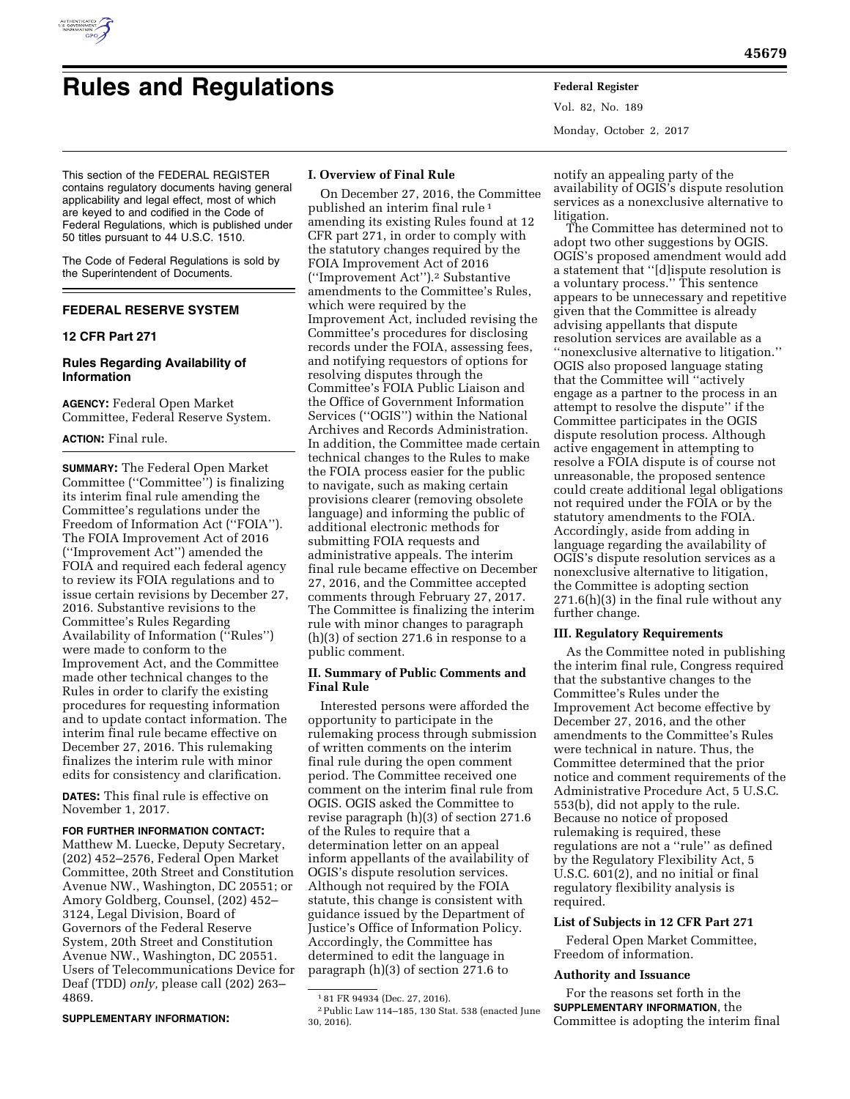

# **Rules and Regulations Federal Register**

Vol. 82, No. 189 Monday, October 2, 2017

This section of the FEDERAL REGISTER contains regulatory documents having general applicability and legal effect, most of which are keyed to and codified in the Code of Federal Regulations, which is published under 50 titles pursuant to 44 U.S.C. 1510.

The Code of Federal Regulations is sold by the Superintendent of Documents.

# **FEDERAL RESERVE SYSTEM**

# **12 CFR Part 271**

# **Rules Regarding Availability of Information**

**AGENCY:** Federal Open Market Committee, Federal Reserve System.

#### **ACTION:** Final rule.

**SUMMARY:** The Federal Open Market Committee (''Committee'') is finalizing its interim final rule amending the Committee's regulations under the Freedom of Information Act (''FOIA''). The FOIA Improvement Act of 2016 (''Improvement Act'') amended the FOIA and required each federal agency to review its FOIA regulations and to issue certain revisions by December 27, 2016. Substantive revisions to the Committee's Rules Regarding Availability of Information (''Rules'') were made to conform to the Improvement Act, and the Committee made other technical changes to the Rules in order to clarify the existing procedures for requesting information and to update contact information. The interim final rule became effective on December 27, 2016. This rulemaking finalizes the interim rule with minor edits for consistency and clarification.

**DATES:** This final rule is effective on November 1, 2017.

#### **FOR FURTHER INFORMATION CONTACT:**

Matthew M. Luecke, Deputy Secretary, (202) 452–2576, Federal Open Market Committee, 20th Street and Constitution Avenue NW., Washington, DC 20551; or Amory Goldberg, Counsel, (202) 452– 3124, Legal Division, Board of Governors of the Federal Reserve System, 20th Street and Constitution Avenue NW., Washington, DC 20551. Users of Telecommunications Device for Deaf (TDD) *only,* please call (202) 263– 4869.

#### **SUPPLEMENTARY INFORMATION:**

#### **I. Overview of Final Rule**

On December 27, 2016, the Committee published an interim final rule 1 amending its existing Rules found at 12 CFR part 271, in order to comply with the statutory changes required by the FOIA Improvement Act of 2016 (''Improvement Act'').2 Substantive amendments to the Committee's Rules, which were required by the Improvement Act, included revising the Committee's procedures for disclosing records under the FOIA, assessing fees, and notifying requestors of options for resolving disputes through the Committee's FOIA Public Liaison and the Office of Government Information Services (''OGIS'') within the National Archives and Records Administration. In addition, the Committee made certain technical changes to the Rules to make the FOIA process easier for the public to navigate, such as making certain provisions clearer (removing obsolete language) and informing the public of additional electronic methods for submitting FOIA requests and administrative appeals. The interim final rule became effective on December 27, 2016, and the Committee accepted comments through February 27, 2017. The Committee is finalizing the interim rule with minor changes to paragraph (h)(3) of section 271.6 in response to a public comment.

# **II. Summary of Public Comments and Final Rule**

Interested persons were afforded the opportunity to participate in the rulemaking process through submission of written comments on the interim final rule during the open comment period. The Committee received one comment on the interim final rule from OGIS. OGIS asked the Committee to revise paragraph (h)(3) of section 271.6 of the Rules to require that a determination letter on an appeal inform appellants of the availability of OGIS's dispute resolution services. Although not required by the FOIA statute, this change is consistent with guidance issued by the Department of Justice's Office of Information Policy. Accordingly, the Committee has determined to edit the language in paragraph (h)(3) of section 271.6 to

notify an appealing party of the availability of OGIS's dispute resolution services as a nonexclusive alternative to litigation.

The Committee has determined not to adopt two other suggestions by OGIS. OGIS's proposed amendment would add a statement that ''[d]ispute resolution is a voluntary process.'' This sentence appears to be unnecessary and repetitive given that the Committee is already advising appellants that dispute resolution services are available as a ''nonexclusive alternative to litigation.'' OGIS also proposed language stating that the Committee will ''actively engage as a partner to the process in an attempt to resolve the dispute'' if the Committee participates in the OGIS dispute resolution process. Although active engagement in attempting to resolve a FOIA dispute is of course not unreasonable, the proposed sentence could create additional legal obligations not required under the FOIA or by the statutory amendments to the FOIA. Accordingly, aside from adding in language regarding the availability of OGIS's dispute resolution services as a nonexclusive alternative to litigation, the Committee is adopting section 271.6(h)(3) in the final rule without any further change.

## **III. Regulatory Requirements**

As the Committee noted in publishing the interim final rule, Congress required that the substantive changes to the Committee's Rules under the Improvement Act become effective by December 27, 2016, and the other amendments to the Committee's Rules were technical in nature. Thus, the Committee determined that the prior notice and comment requirements of the Administrative Procedure Act, 5 U.S.C. 553(b), did not apply to the rule. Because no notice of proposed rulemaking is required, these regulations are not a ''rule'' as defined by the Regulatory Flexibility Act, 5 U.S.C. 601(2), and no initial or final regulatory flexibility analysis is required.

## **List of Subjects in 12 CFR Part 271**

Federal Open Market Committee, Freedom of information.

#### **Authority and Issuance**

For the reasons set forth in the **SUPPLEMENTARY INFORMATION**, the Committee is adopting the interim final

<sup>1</sup> 81 FR 94934 (Dec. 27, 2016).

<sup>2</sup>Public Law 114–185, 130 Stat. 538 (enacted June 30, 2016).